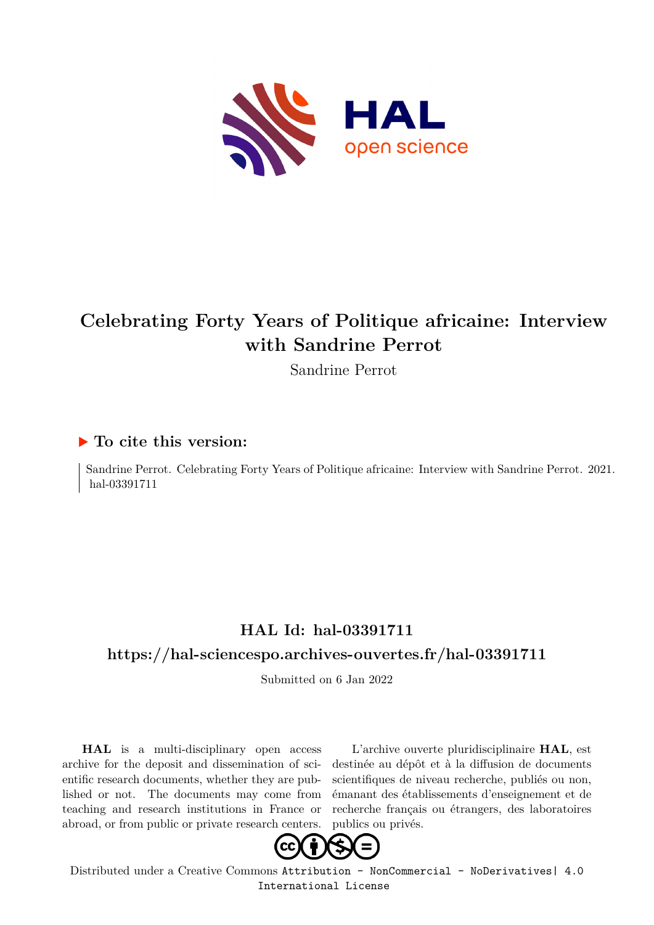

# **Celebrating Forty Years of Politique africaine: Interview with Sandrine Perrot**

Sandrine Perrot

## **To cite this version:**

Sandrine Perrot. Celebrating Forty Years of Politique africaine: Interview with Sandrine Perrot. 2021. hal-03391711

# **HAL Id: hal-03391711**

## **<https://hal-sciencespo.archives-ouvertes.fr/hal-03391711>**

Submitted on 6 Jan 2022

**HAL** is a multi-disciplinary open access archive for the deposit and dissemination of scientific research documents, whether they are published or not. The documents may come from teaching and research institutions in France or abroad, or from public or private research centers.

L'archive ouverte pluridisciplinaire **HAL**, est destinée au dépôt et à la diffusion de documents scientifiques de niveau recherche, publiés ou non, émanant des établissements d'enseignement et de recherche français ou étrangers, des laboratoires publics ou privés.



Distributed under a Creative Commons [Attribution - NonCommercial - NoDerivatives| 4.0](http://creativecommons.org/licenses/by-nc-nd/4.0/) [International License](http://creativecommons.org/licenses/by-nc-nd/4.0/)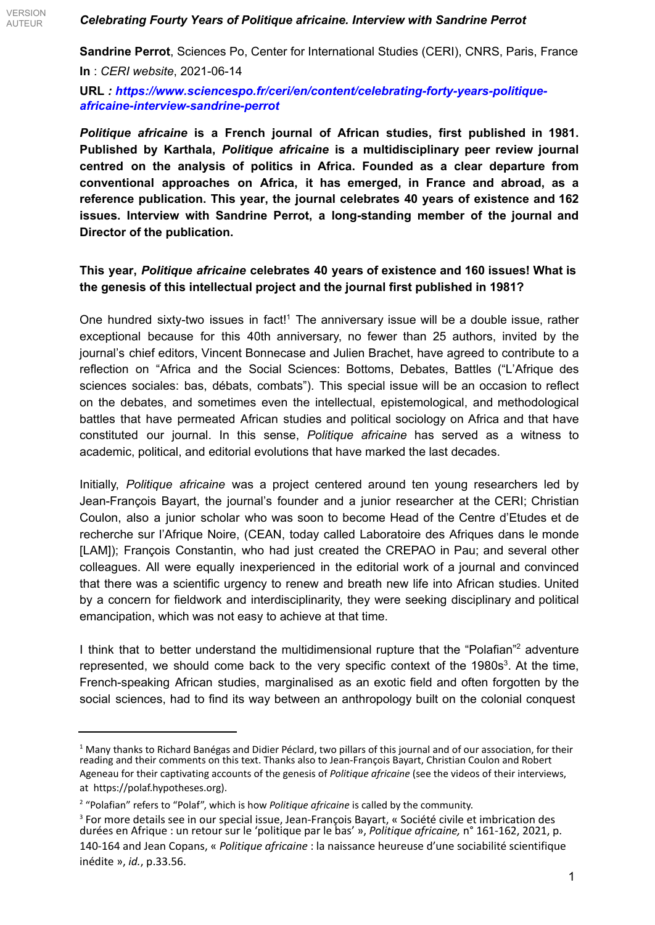**Sandrine Perrot**, Sciences Po, Center for International Studies (CERI), CNRS, Paris, France **In** : *CERI website*, 2021-06-14

**URL** *: https://www.sciencespo.fr/ceri/en/content/celebrating-forty-years-politiqueafricaine-interview-sandrine-perrot*

*Politique africaine* **is a French journal of African studies, first published in 1981. Published by Karthala,** *Politique africaine* **is a multidisciplinary peer review journal centred on the analysis of politics in Africa. Founded as a clear departure from conventional approaches on Africa, it has emerged, in France and abroad, as a reference publication. This year, the journal celebrates 40 years of existence and 162 issues. Interview with Sandrine Perrot, a long-standing member of the journal and Director of the publication.**

#### **This year,** *Politique africaine* **celebrates 40 years of existence and 160 issues! What is the genesis of this intellectual project and the journal first published in 1981?**

One hundred sixty-two issues in fact!<sup>1</sup> The anniversary issue will be a double issue, rather exceptional because for this 40th anniversary, no fewer than 25 authors, invited by the journal's chief editors, Vincent Bonnecase and Julien Brachet, have agreed to contribute to a reflection on "Africa and the Social Sciences: Bottoms, Debates, Battles ("L'Afrique des sciences sociales: bas, débats, combats"). This special issue will be an occasion to reflect on the debates, and sometimes even the intellectual, epistemological, and methodological battles that have permeated African studies and political sociology on Africa and that have constituted our journal. In this sense, *Politique africaine* has served as a witness to academic, political, and editorial evolutions that have marked the last decades.

Initially, *Politique africaine* was a project centered around ten young researchers led by Jean-François Bayart, the journal's founder and a junior researcher at the CERI; Christian Coulon, also a junior scholar who was soon to become Head of the Centre d'Etudes et de recherche sur l'Afrique Noire, (CEAN, today called Laboratoire des Afriques dans le monde [LAM]); François Constantin, who had just created the CREPAO in Pau; and several other colleagues. All were equally inexperienced in the editorial work of a journal and convinced that there was a scientific urgency to renew and breath new life into African studies. United by a concern for fieldwork and interdisciplinarity, they were seeking disciplinary and political emancipation, which was not easy to achieve at that time.

I think that to better understand the multidimensional rupture that the "Polafian"<sup>2</sup> adventure represented, we should come back to the very specific context of the  $1980s<sup>3</sup>$ . At the time, French-speaking African studies, marginalised as an exotic field and often forgotten by the social sciences, had to find its way between an anthropology built on the colonial conquest

 $1$  Many thanks to Richard Banégas and Didier Péclard, two pillars of this iournal and of our association. for their reading and their comments on this text. Thanks also to Jean-François Bayart, Christian Coulon and Robert Ageneau for their captivating accounts of the genesis of *Politique africaine* (see the videos of their interviews, at https://polaf.hypotheses.org).

<sup>2</sup> "Polafian" refers to "Polaf", which is how *Politique africaine* is called by the community.

<sup>&</sup>lt;sup>3</sup> For more details see in our special issue, Jean-François Bayart, « Société civile et imbrication des durées en Afrique : un retour sur le 'politique par le bas' », *Politique africaine,* n° 161-162, 2021, p. 140-164 and Jean Copans, « *Politique africaine* : la naissance heureuse d'une sociabilité scientifique inédite », *id.*, p.33.56.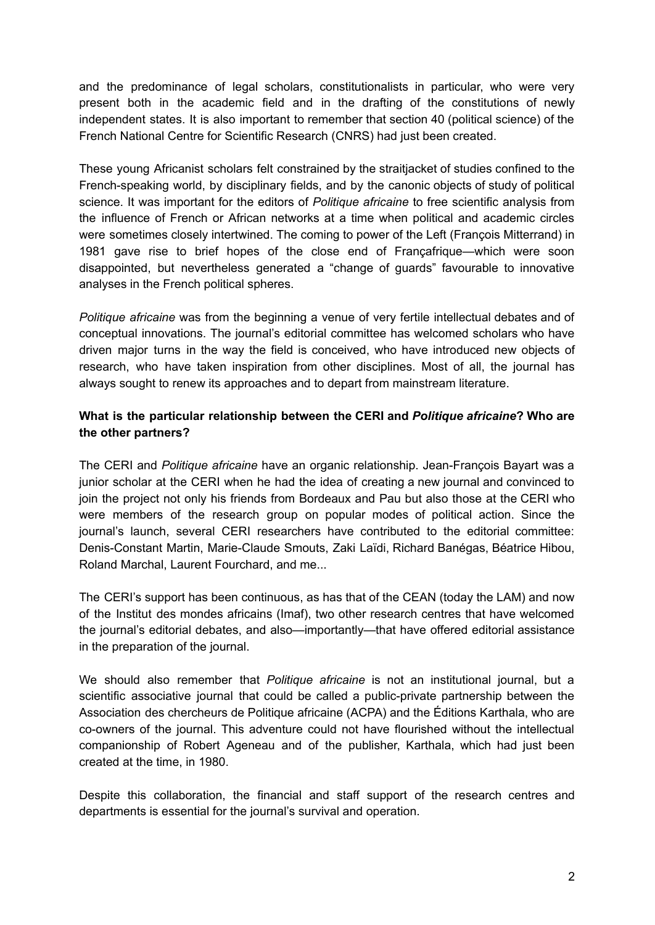and the predominance of legal scholars, constitutionalists in particular, who were very present both in the academic field and in the drafting of the constitutions of newly independent states. It is also important to remember that section 40 (political science) of the French National Centre for Scientific Research (CNRS) had just been created.

These young Africanist scholars felt constrained by the straitjacket of studies confined to the French-speaking world, by disciplinary fields, and by the canonic objects of study of political science. It was important for the editors of *Politique africaine* to free scientific analysis from the influence of French or African networks at a time when political and academic circles were sometimes closely intertwined. The coming to power of the Left (François Mitterrand) in 1981 gave rise to brief hopes of the close end of Françafrique—which were soon disappointed, but nevertheless generated a "change of guards" favourable to innovative analyses in the French political spheres.

*Politique africaine* was from the beginning a venue of very fertile intellectual debates and of conceptual innovations. The journal's editorial committee has welcomed scholars who have driven major turns in the way the field is conceived, who have introduced new objects of research, who have taken inspiration from other disciplines. Most of all, the journal has always sought to renew its approaches and to depart from mainstream literature.

#### **What is the particular relationship between the CERI and** *Politique africaine***? Who are the other partners?**

The CERI and *Politique africaine* have an organic relationship. Jean-François Bayart was a junior scholar at the CERI when he had the idea of creating a new journal and convinced to join the project not only his friends from Bordeaux and Pau but also those at the CERI who were members of the research group on popular modes of political action. Since the journal's launch, several CERI researchers have contributed to the editorial committee: Denis-Constant Martin, Marie-Claude Smouts, Zaki Laïdi, Richard Banégas, Béatrice Hibou, Roland Marchal, Laurent Fourchard, and me...

The CERI's support has been continuous, as has that of the CEAN (today the LAM) and now of the Institut des mondes africains (Imaf), two other research centres that have welcomed the journal's editorial debates, and also—importantly—that have offered editorial assistance in the preparation of the journal.

We should also remember that *Politique africaine* is not an institutional journal, but a scientific associative journal that could be called a public-private partnership between the Association des chercheurs de Politique africaine (ACPA) and the Éditions Karthala, who are co-owners of the journal. This adventure could not have flourished without the intellectual companionship of Robert Ageneau and of the publisher, Karthala, which had just been created at the time, in 1980.

Despite this collaboration, the financial and staff support of the research centres and departments is essential for the journal's survival and operation.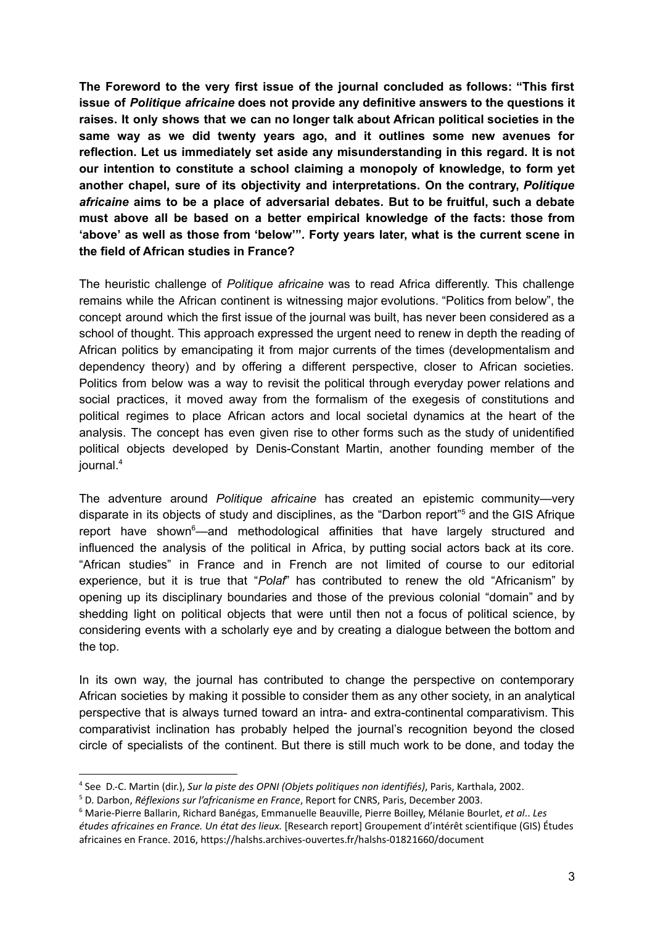**The Foreword to the very first issue of the journal concluded as follows: "This first issue of** *Politique africaine* **does not provide any definitive answers to the questions it raises. It only shows that we can no longer talk about African political societies in the same way as we did twenty years ago, and it outlines some new avenues for reflection. Let us immediately set aside any misunderstanding in this regard. It is not our intention to constitute a school claiming a monopoly of knowledge, to form yet another chapel, sure of its objectivity and interpretations. On the contrary,** *Politique africaine* **aims to be a place of adversarial debates. But to be fruitful, such a debate must above all be based on a better empirical knowledge of the facts: those from 'above' as well as those from 'below'". Forty years later, what is the current scene in the field of African studies in France?**

The heuristic challenge of *Politique africaine* was to read Africa differently. This challenge remains while the African continent is witnessing major evolutions. "Politics from below", the concept around which the first issue of the journal was built, has never been considered as a school of thought. This approach expressed the urgent need to renew in depth the reading of African politics by emancipating it from major currents of the times (developmentalism and dependency theory) and by offering a different perspective, closer to African societies. Politics from below was a way to revisit the political through everyday power relations and social practices, it moved away from the formalism of the exegesis of constitutions and political regimes to place African actors and local societal dynamics at the heart of the analysis. The concept has even given rise to other forms such as the study of unidentified political objects developed by Denis-Constant Martin, another founding member of the journal. 4

The adventure around *Politique africaine* has created an epistemic community—very disparate in its objects of study and disciplines, as the "Darbon report"<sup>5</sup> and the GIS Afrique report have shown $<sup>6</sup>$ —and methodological affinities that have largely structured and</sup> influenced the analysis of the political in Africa, by putting social actors back at its core. "African studies" in France and in French are not limited of course to our editorial experience, but it is true that "*Polaf*" has contributed to renew the old "Africanism" by opening up its disciplinary boundaries and those of the previous colonial "domain" and by shedding light on political objects that were until then not a focus of political science, by considering events with a scholarly eye and by creating a dialogue between the bottom and the top.

In its own way, the journal has contributed to change the perspective on contemporary African societies by making it possible to consider them as any other society, in an analytical perspective that is always turned toward an intra- and extra-continental comparativism. This comparativist inclination has probably helped the journal's recognition beyond the closed circle of specialists of the continent. But there is still much work to be done, and today the

<sup>4</sup> See D.-C. Martin (dir.), *Sur la piste des OPNI (Objets politiques non identifiés)*, Paris, Karthala, 2002.

<sup>5</sup> D. Darbon, *Réflexions sur l'africanisme en France*, Report for CNRS, Paris, December 2003.

<sup>6</sup> Marie-Pierre Ballarin, Richard Banégas, Emmanuelle Beauville, Pierre Boilley, Mélanie Bourlet, *et al*.. *Les études africaines en France. Un état des lieux.* [Research report] Groupement d'intérêt scientifique (GIS) Études africaines en France. 2016, https://halshs.archives-ouvertes.fr/halshs-01821660/document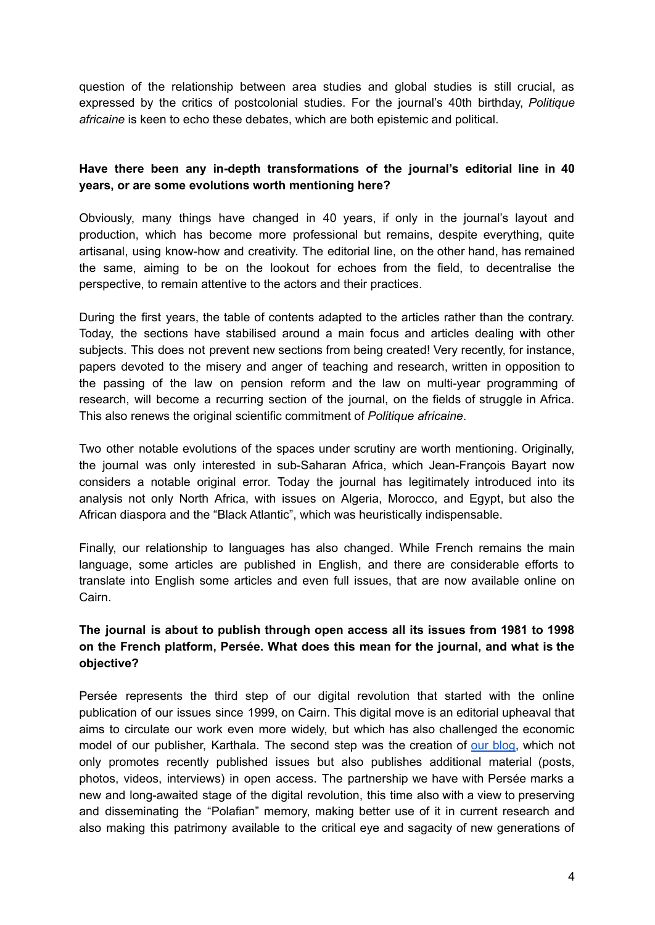question of the relationship between area studies and global studies is still crucial, as expressed by the critics of postcolonial studies. For the journal's 40th birthday, *Politique africaine* is keen to echo these debates, which are both epistemic and political.

#### **Have there been any in-depth transformations of the journal's editorial line in 40 years, or are some evolutions worth mentioning here?**

Obviously, many things have changed in 40 years, if only in the journal's layout and production, which has become more professional but remains, despite everything, quite artisanal, using know-how and creativity. The editorial line, on the other hand, has remained the same, aiming to be on the lookout for echoes from the field, to decentralise the perspective, to remain attentive to the actors and their practices.

During the first years, the table of contents adapted to the articles rather than the contrary. Today, the sections have stabilised around a main focus and articles dealing with other subjects. This does not prevent new sections from being created! Very recently, for instance, papers devoted to the misery and anger of teaching and research, written in opposition to the passing of the law on pension reform and the law on multi-year programming of research, will become a recurring section of the journal, on the fields of struggle in Africa. This also renews the original scientific commitment of *Politique africaine*.

Two other notable evolutions of the spaces under scrutiny are worth mentioning. Originally, the journal was only interested in sub-Saharan Africa, which Jean-François Bayart now considers a notable original error. Today the journal has legitimately introduced into its analysis not only North Africa, with issues on Algeria, Morocco, and Egypt, but also the African diaspora and the "Black Atlantic", which was heuristically indispensable.

Finally, our relationship to languages has also changed. While French remains the main language, some articles are published in English, and there are considerable efforts to translate into English some articles and even full issues, that are now available online on Cairn.

#### **The journal is about to publish through open access all its issues from 1981 to 1998 on the French platform, Persée. What does this mean for the journal, and what is the objective?**

Persée represents the third step of our digital revolution that started with the online publication of our issues since 1999, on Cairn. This digital move is an editorial upheaval that aims to circulate our work even more widely, but which has also challenged the economic model of our publisher, Karthala. The second step was the creation of our [blog](https://polaf.hypotheses.org/), which not only promotes recently published issues but also publishes additional material (posts, photos, videos, interviews) in open access. The partnership we have with Persée marks a new and long-awaited stage of the digital revolution, this time also with a view to preserving and disseminating the "Polafian" memory, making better use of it in current research and also making this patrimony available to the critical eye and sagacity of new generations of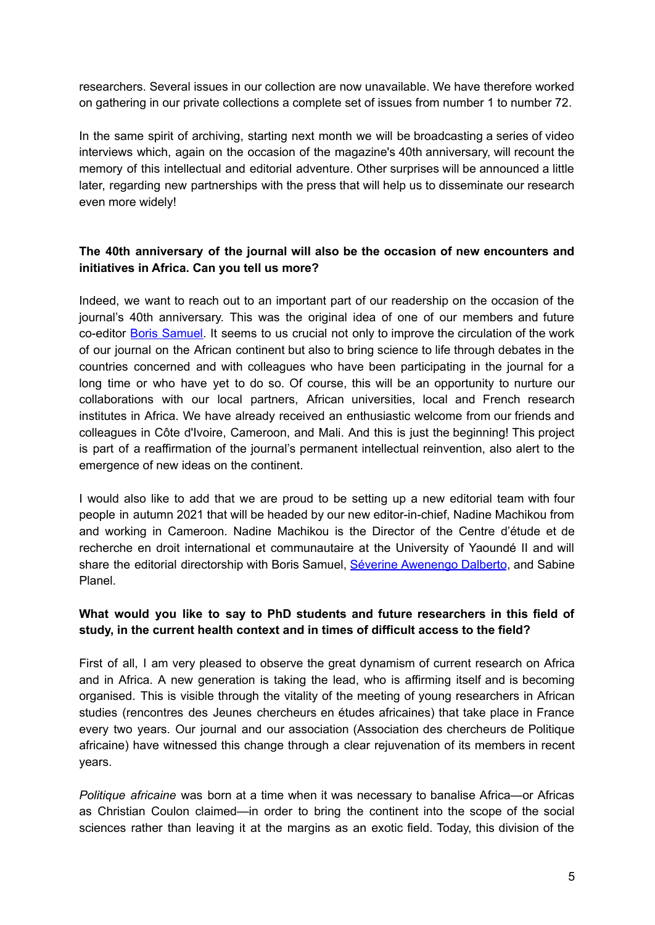researchers. Several issues in our collection are now unavailable. We have therefore worked on gathering in our private collections a complete set of issues from number 1 to number 72.

In the same spirit of archiving, starting next month we will be broadcasting a series of video interviews which, again on the occasion of the magazine's 40th anniversary, will recount the memory of this intellectual and editorial adventure. Other surprises will be announced a little later, regarding new partnerships with the press that will help us to disseminate our research even more widely!

#### **The 40th anniversary of the journal will also be the occasion of new encounters and initiatives in Africa. Can you tell us more?**

Indeed, we want to reach out to an important part of our readership on the occasion of the journal's 40th anniversary. This was the original idea of one of our members and future co-editor Boris [Samuel.](https://www.cessma.org/SAMUEL-Boris) It seems to us crucial not only to improve the circulation of the work of our journal on the African continent but also to bring science to life through debates in the countries concerned and with colleagues who have been participating in the journal for a long time or who have yet to do so. Of course, this will be an opportunity to nurture our collaborations with our local partners, African universities, local and French research institutes in Africa. We have already received an enthusiastic welcome from our friends and colleagues in Côte d'Ivoire, Cameroon, and Mali. And this is just the beginning! This project is part of a reaffirmation of the journal's permanent intellectual reinvention, also alert to the emergence of new ideas on the continent.

I would also like to add that we are proud to be setting up a new editorial team with four people in autumn 2021 that will be headed by our new editor-in-chief, Nadine Machikou from and working in Cameroon. Nadine Machikou is the Director of the Centre d'étude et de recherche en droit international et communautaire at the University of Yaoundé II and will share the editorial directorship with Boris Samuel, Séverine [Awenengo](https://imaf.cnrs.fr/spip.php?article93) Dalberto, and Sabine Planel.

#### **What would you like to say to PhD students and future researchers in this field of study, in the current health context and in times of difficult access to the field?**

First of all, I am very pleased to observe the great dynamism of current research on Africa and in Africa. A new generation is taking the lead, who is affirming itself and is becoming organised. This is visible through the vitality of the meeting of young researchers in African studies (rencontres des Jeunes chercheurs en études africaines) that take place in France every two years. Our journal and our association (Association des chercheurs de Politique africaine) have witnessed this change through a clear rejuvenation of its members in recent years.

*Politique africaine* was born at a time when it was necessary to banalise Africa—or Africas as Christian Coulon claimed—in order to bring the continent into the scope of the social sciences rather than leaving it at the margins as an exotic field. Today, this division of the